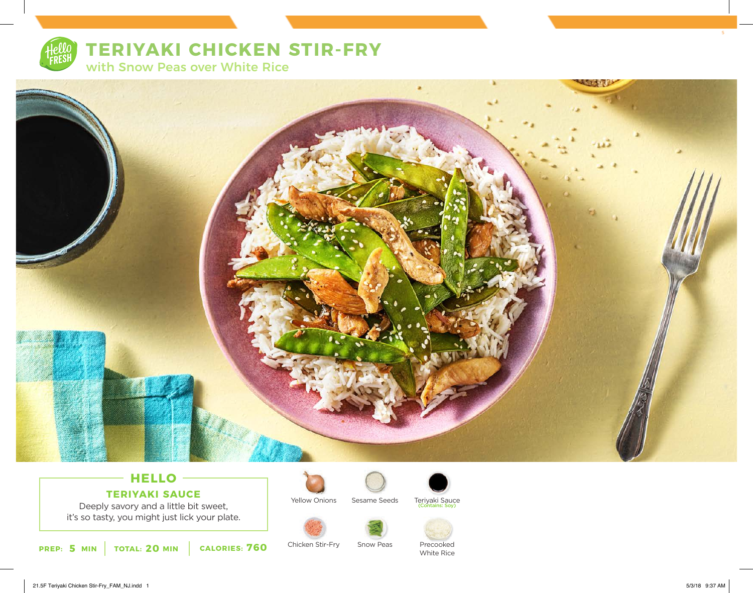

# **TERIYAKI CHICKEN STIR-FRY**

with Snow Peas over White Rice



### **HELLO TERIYAKI SAUCE**

Deeply savory and a little bit sweet, it's so tasty, you might just lick your plate.



Chicken Stir-Fry

Yellow Onions



Sesame Seeds Teriyaki Sauce (Contains: Soy)



Precooked White Rice